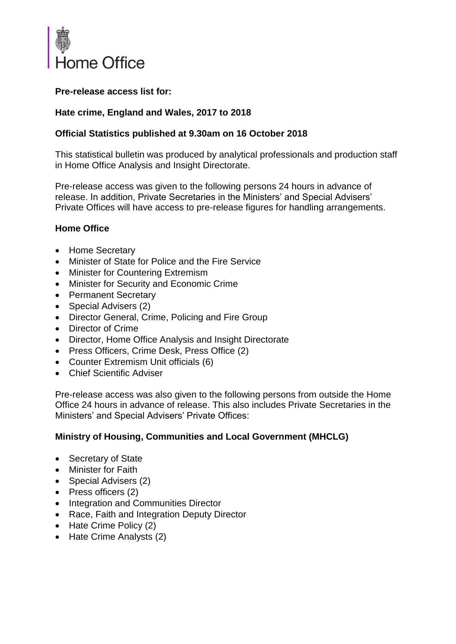

## **Pre-release access list for:**

## **Hate crime, England and Wales, 2017 to 2018**

## **Official Statistics published at 9.30am on 16 October 2018**

This statistical bulletin was produced by analytical professionals and production staff in Home Office Analysis and Insight Directorate.

Pre-release access was given to the following persons 24 hours in advance of release. In addition, Private Secretaries in the Ministers' and Special Advisers' Private Offices will have access to pre-release figures for handling arrangements.

#### **Home Office**

- Home Secretary
- Minister of State for Police and the Fire Service
- Minister for Countering Extremism
- Minister for Security and Economic Crime
- Permanent Secretary
- Special Advisers (2)
- Director General, Crime, Policing and Fire Group
- Director of Crime
- Director, Home Office Analysis and Insight Directorate
- Press Officers, Crime Desk, Press Office (2)
- [Counter Extremism Unit officials](https://horizon.fcos.gsi.gov.uk/teams/home-office-hq/crime-policing-and-fire-group/public-protection-directorate/counter-extremism-unit-ceu) (6)
- Chief Scientific Adviser

Pre-release access was also given to the following persons from outside the Home Office 24 hours in advance of release. This also includes Private Secretaries in the Ministers' and Special Advisers' Private Offices:

#### **Ministry of Housing, Communities and Local Government (MHCLG)**

- Secretary of State
- Minister for Faith
- Special Advisers (2)
- Press officers (2)
- Integration and Communities Director
- Race, Faith and Integration Deputy Director
- Hate Crime Policy (2)
- Hate Crime Analysts (2)